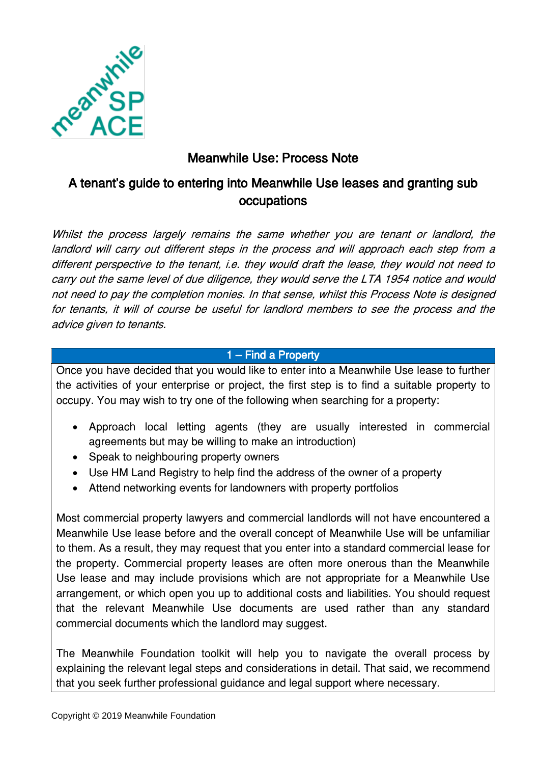

# Meanwhile Use: Process Note

# A tenant's guide to entering into Meanwhile Use leases and granting sub occupations

Whilst the process largely remains the same whether you are tenant or landlord, the landlord will carry out different steps in the process and will approach each step from a different perspective to the tenant, i.e. they would draft the lease, they would not need to carry out the same level of due diligence, they would serve the LTA 1954 notice and would not need to pay the completion monies. In that sense, whilst this Process Note is designed for tenants, it will of course be useful for landlord members to see the process and the advice given to tenants.

# 1 – Find a Property

Once you have decided that you would like to enter into a Meanwhile Use lease to further the activities of your enterprise or project, the first step is to find a suitable property to occupy. You may wish to try one of the following when searching for a property:

- Approach local letting agents (they are usually interested in commercial agreements but may be willing to make an introduction)
- Speak to neighbouring property owners
- Use HM Land Registry to help find the address of the owner of a property
- Attend networking events for landowners with property portfolios

Most commercial property lawyers and commercial landlords will not have encountered a Meanwhile Use lease before and the overall concept of Meanwhile Use will be unfamiliar to them. As a result, they may request that you enter into a standard commercial lease for the property. Commercial property leases are often more onerous than the Meanwhile Use lease and may include provisions which are not appropriate for a Meanwhile Use arrangement, or which open you up to additional costs and liabilities. You should request that the relevant Meanwhile Use documents are used rather than any standard commercial documents which the landlord may suggest.

The Meanwhile Foundation toolkit will help you to navigate the overall process by explaining the relevant legal steps and considerations in detail. That said, we recommend that you seek further professional guidance and legal support where necessary.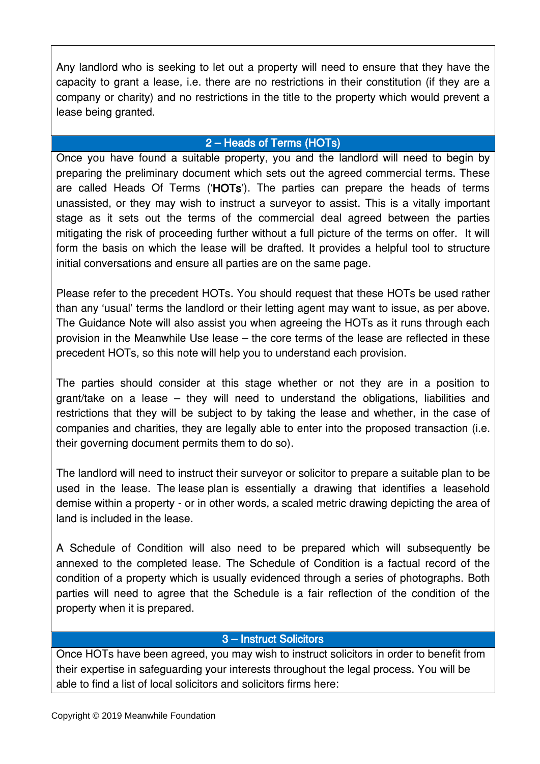Any landlord who is seeking to let out a property will need to ensure that they have the capacity to grant a lease, i.e. there are no restrictions in their constitution (if they are a company or charity) and no restrictions in the title to the property which would prevent a lease being granted.

## 2 – Heads of Terms (HOTs)

Once you have found a suitable property, you and the landlord will need to begin by preparing the preliminary document which sets out the agreed commercial terms. These are called Heads Of Terms ('HOTs'). The parties can prepare the heads of terms unassisted, or they may wish to instruct a surveyor to assist. This is a vitally important stage as it sets out the terms of the commercial deal agreed between the parties mitigating the risk of proceeding further without a full picture of the terms on offer. It will form the basis on which the lease will be drafted. It provides a helpful tool to structure initial conversations and ensure all parties are on the same page.

Please refer to the precedent HOTs. You should request that these HOTs be used rather than any 'usual' terms the landlord or their letting agent may want to issue, as per above. The Guidance Note will also assist you when agreeing the HOTs as it runs through each provision in the Meanwhile Use lease – the core terms of the lease are reflected in these precedent HOTs, so this note will help you to understand each provision.

The parties should consider at this stage whether or not they are in a position to grant/take on a lease – they will need to understand the obligations, liabilities and restrictions that they will be subject to by taking the lease and whether, in the case of companies and charities, they are legally able to enter into the proposed transaction (i.e. their governing document permits them to do so).

The landlord will need to instruct their surveyor or solicitor to prepare a suitable plan to be used in the lease. The lease plan is essentially a drawing that identifies a leasehold demise within a property - or in other words, a scaled metric drawing depicting the area of land is included in the lease.

A Schedule of Condition will also need to be prepared which will subsequently be annexed to the completed lease. The Schedule of Condition is a factual record of the condition of a property which is usually evidenced through a series of photographs. Both parties will need to agree that the Schedule is a fair reflection of the condition of the property when it is prepared.

## 3 – Instruct Solicitors

Once HOTs have been agreed, you may wish to instruct solicitors in order to benefit from their expertise in safeguarding your interests throughout the legal process. You will be able to find a list of local solicitors and solicitors firms here: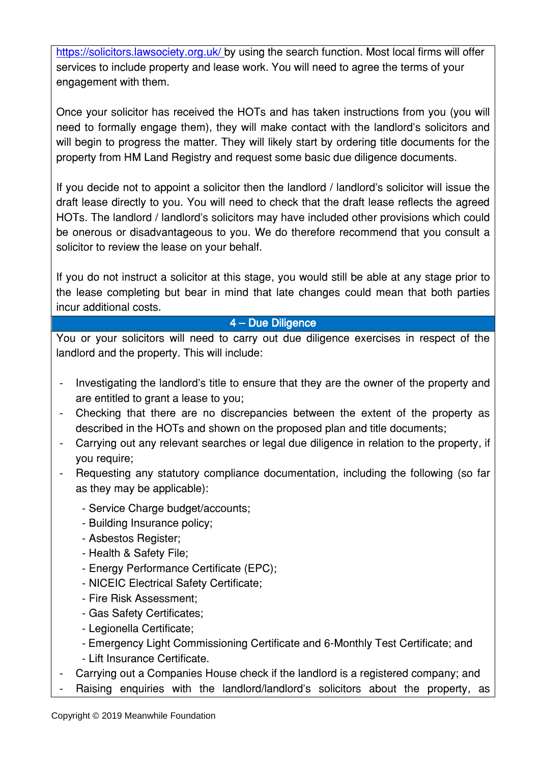<https://solicitors.lawsociety.org.uk/> by using the search function. Most local firms will offer services to include property and lease work. You will need to agree the terms of your engagement with them.

Once your solicitor has received the HOTs and has taken instructions from you (you will need to formally engage them), they will make contact with the landlord's solicitors and will begin to progress the matter. They will likely start by ordering title documents for the property from HM Land Registry and request some basic due diligence documents.

If you decide not to appoint a solicitor then the landlord / landlord's solicitor will issue the draft lease directly to you. You will need to check that the draft lease reflects the agreed HOTs. The landlord / landlord's solicitors may have included other provisions which could be onerous or disadvantageous to you. We do therefore recommend that you consult a solicitor to review the lease on your behalf.

If you do not instruct a solicitor at this stage, you would still be able at any stage prior to the lease completing but bear in mind that late changes could mean that both parties incur additional costs.

# 4 – Due Diligence

You or your solicitors will need to carry out due diligence exercises in respect of the landlord and the property. This will include:

- Investigating the landlord's title to ensure that they are the owner of the property and are entitled to grant a lease to you;
- Checking that there are no discrepancies between the extent of the property as described in the HOTs and shown on the proposed plan and title documents;
- Carrying out any relevant searches or legal due diligence in relation to the property, if you require;
- Requesting any statutory compliance documentation, including the following (so far as they may be applicable):
	- Service Charge budget/accounts;
	- Building Insurance policy;
	- Asbestos Register;
	- Health & Safety File;
	- Energy Performance Certificate (EPC);
	- NICEIC Electrical Safety Certificate;
	- Fire Risk Assessment;
	- Gas Safety Certificates;
	- Legionella Certificate;
	- Emergency Light Commissioning Certificate and 6-Monthly Test Certificate; and
	- Lift Insurance Certificate.
- Carrying out a Companies House check if the landlord is a registered company; and
- Raising enquiries with the landlord/landlord's solicitors about the property, as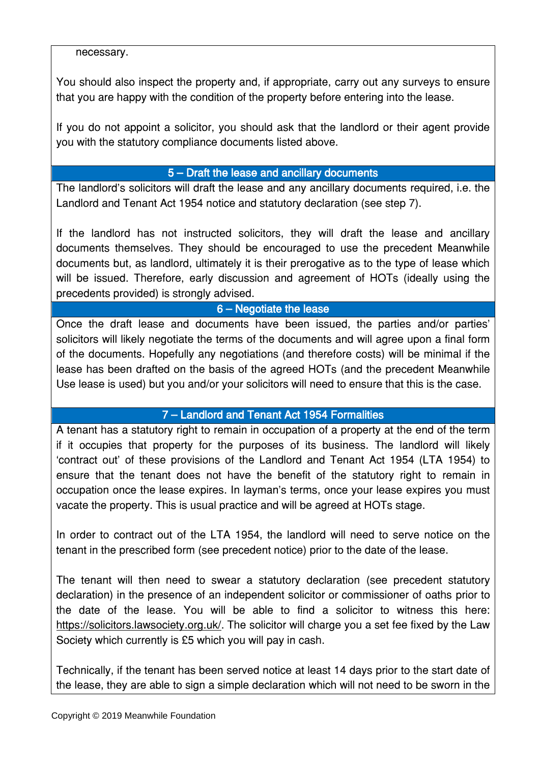#### necessary.

You should also inspect the property and, if appropriate, carry out any surveys to ensure that you are happy with the condition of the property before entering into the lease.

If you do not appoint a solicitor, you should ask that the landlord or their agent provide you with the statutory compliance documents listed above.

## 5 – Draft the lease and ancillary documents

The landlord's solicitors will draft the lease and any ancillary documents required, i.e. the Landlord and Tenant Act 1954 notice and statutory declaration (see step 7).

If the landlord has not instructed solicitors, they will draft the lease and ancillary documents themselves. They should be encouraged to use the precedent Meanwhile documents but, as landlord, ultimately it is their prerogative as to the type of lease which will be issued. Therefore, early discussion and agreement of HOTs (ideally using the precedents provided) is strongly advised.

# 6 – Negotiate the lease

Once the draft lease and documents have been issued, the parties and/or parties' solicitors will likely negotiate the terms of the documents and will agree upon a final form of the documents. Hopefully any negotiations (and therefore costs) will be minimal if the lease has been drafted on the basis of the agreed HOTs (and the precedent Meanwhile Use lease is used) but you and/or your solicitors will need to ensure that this is the case.

# 7 – Landlord and Tenant Act 1954 Formalities

A tenant has a statutory right to remain in occupation of a property at the end of the term if it occupies that property for the purposes of its business. The landlord will likely 'contract out' of these provisions of the Landlord and Tenant Act 1954 (LTA 1954) to ensure that the tenant does not have the benefit of the statutory right to remain in occupation once the lease expires. In layman's terms, once your lease expires you must vacate the property. This is usual practice and will be agreed at HOTs stage.

In order to contract out of the LTA 1954, the landlord will need to serve notice on the tenant in the prescribed form (see precedent notice) prior to the date of the lease.

The tenant will then need to swear a statutory declaration (see precedent statutory declaration) in the presence of an independent solicitor or commissioner of oaths prior to the date of the lease. You will be able to find a solicitor to witness this here: [https://solicitors.lawsociety.org.uk/.](https://solicitors.lawsociety.org.uk/) The solicitor will charge you a set fee fixed by the Law Society which currently is £5 which you will pay in cash.

Technically, if the tenant has been served notice at least 14 days prior to the start date of the lease, they are able to sign a simple declaration which will not need to be sworn in the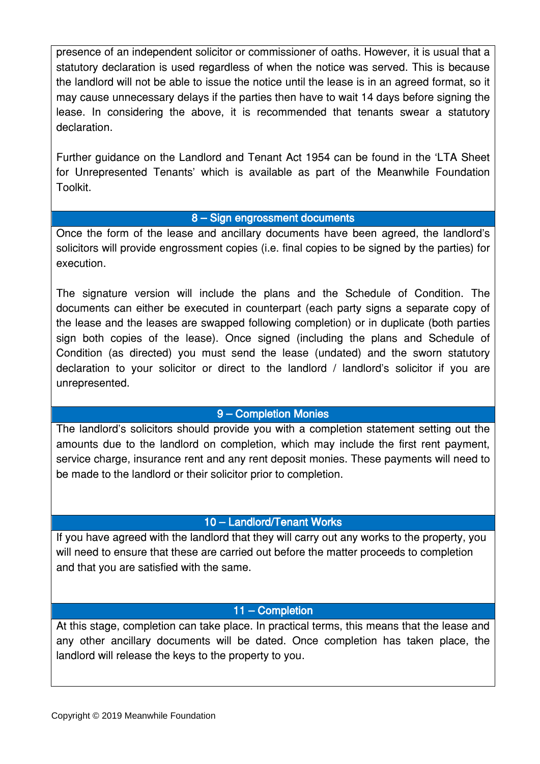presence of an independent solicitor or commissioner of oaths. However, it is usual that a statutory declaration is used regardless of when the notice was served. This is because the landlord will not be able to issue the notice until the lease is in an agreed format, so it may cause unnecessary delays if the parties then have to wait 14 days before signing the lease. In considering the above, it is recommended that tenants swear a statutory declaration.

Further guidance on the Landlord and Tenant Act 1954 can be found in the 'LTA Sheet for Unrepresented Tenants' which is available as part of the Meanwhile Foundation Toolkit.

## 8 – Sign engrossment documents

Once the form of the lease and ancillary documents have been agreed, the landlord's solicitors will provide engrossment copies (i.e. final copies to be signed by the parties) for execution.

The signature version will include the plans and the Schedule of Condition. The documents can either be executed in counterpart (each party signs a separate copy of the lease and the leases are swapped following completion) or in duplicate (both parties sign both copies of the lease). Once signed (including the plans and Schedule of Condition (as directed) you must send the lease (undated) and the sworn statutory declaration to your solicitor or direct to the landlord / landlord's solicitor if you are unrepresented.

## 9 – Completion Monies

The landlord's solicitors should provide you with a completion statement setting out the amounts due to the landlord on completion, which may include the first rent payment, service charge, insurance rent and any rent deposit monies. These payments will need to be made to the landlord or their solicitor prior to completion.

#### 10 – Landlord/Tenant Works

If you have agreed with the landlord that they will carry out any works to the property, you will need to ensure that these are carried out before the matter proceeds to completion and that you are satisfied with the same.

#### 11 – Completion

At this stage, completion can take place. In practical terms, this means that the lease and any other ancillary documents will be dated. Once completion has taken place, the landlord will release the keys to the property to you.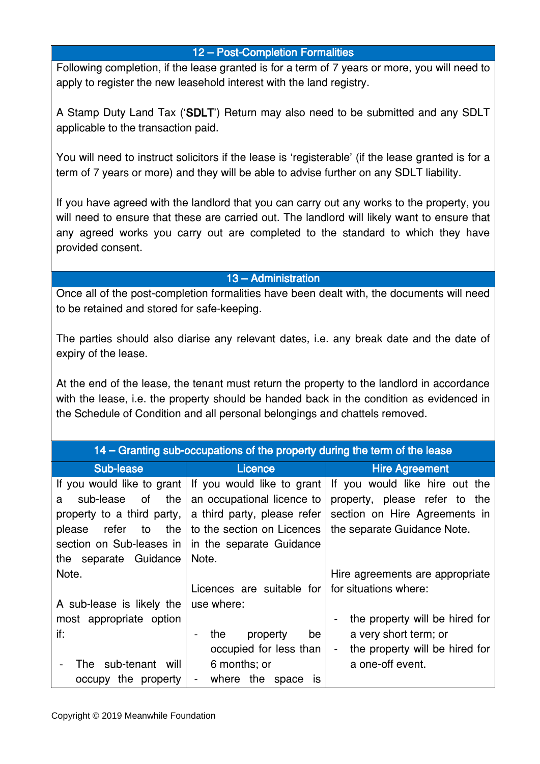#### 12 – Post-Completion Formalities

Following completion, if the lease granted is for a term of 7 years or more, you will need to apply to register the new leasehold interest with the land registry.

A Stamp Duty Land Tax ('SDLT') Return may also need to be submitted and any SDLT applicable to the transaction paid.

You will need to instruct solicitors if the lease is 'registerable' (if the lease granted is for a term of 7 years or more) and they will be able to advise further on any SDLT liability.

If you have agreed with the landlord that you can carry out any works to the property, you will need to ensure that these are carried out. The landlord will likely want to ensure that any agreed works you carry out are completed to the standard to which they have provided consent.

## 13 – Administration

Once all of the post-completion formalities have been dealt with, the documents will need to be retained and stored for safe-keeping.

The parties should also diarise any relevant dates, i.e. any break date and the date of expiry of the lease.

At the end of the lease, the tenant must return the property to the landlord in accordance with the lease, i.e. the property should be handed back in the condition as evidenced in the Schedule of Condition and all personal belongings and chattels removed.

|                                                                                                                                                                              | 14 – Granting sub-occupations of the property during the term of the lease                                                                                 |                                                                                                                                           |
|------------------------------------------------------------------------------------------------------------------------------------------------------------------------------|------------------------------------------------------------------------------------------------------------------------------------------------------------|-------------------------------------------------------------------------------------------------------------------------------------------|
| <b>Sub-lease</b>                                                                                                                                                             | Licence                                                                                                                                                    | <b>Hire Agreement</b>                                                                                                                     |
| If you would like to grant<br>sub-lease<br>the<br>of<br>a<br>property to a third party,<br>refer<br>the<br>to<br>please<br>section on Sub-leases in<br>the separate Guidance | If you would like to grant<br>an occupational licence to<br>a third party, please refer<br>to the section on Licences<br>in the separate Guidance<br>Note. | If you would like hire out the<br>property, please refer to the<br>section on Hire Agreements in<br>the separate Guidance Note.           |
| Note.<br>A sub-lease is likely the                                                                                                                                           | Licences are suitable for<br>use where:                                                                                                                    | Hire agreements are appropriate<br>for situations where:                                                                                  |
| most appropriate option<br>if:<br>sub-tenant will<br>The<br>occupy the property                                                                                              | the<br>property<br>be<br>$\overline{\phantom{a}}$<br>occupied for less than<br>6 months; or<br>where the<br>space<br>$\blacksquare$<br><b>IS</b>           | the property will be hired for<br>a very short term; or<br>the property will be hired for<br>$\overline{\phantom{a}}$<br>a one-off event. |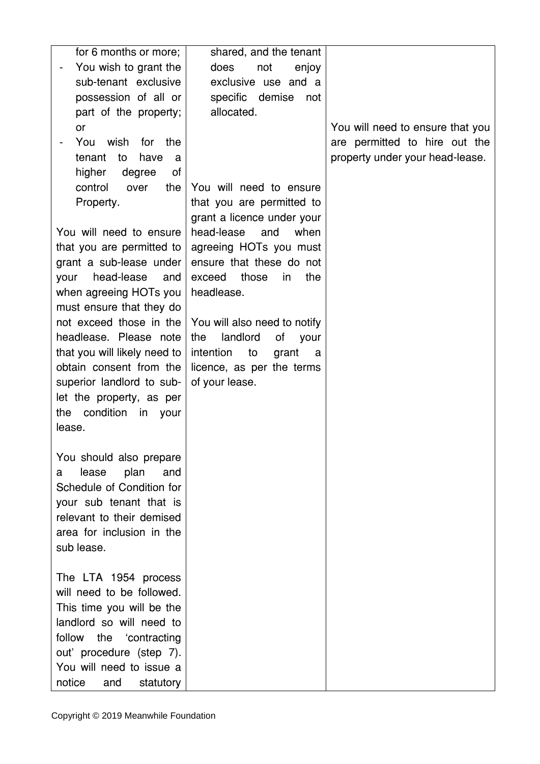| for 6 months or more;                         | shared, and the tenant        |                                  |
|-----------------------------------------------|-------------------------------|----------------------------------|
|                                               |                               |                                  |
| You wish to grant the<br>sub-tenant exclusive | does<br>not<br>enjoy          |                                  |
|                                               | exclusive use and a           |                                  |
| possession of all or                          | specific demise<br>not        |                                  |
| part of the property;                         | allocated.                    |                                  |
| or                                            |                               | You will need to ensure that you |
| You<br>wish<br>for<br>the                     |                               | are permitted to hire out the    |
| tenant<br>to<br>have<br>a                     |                               | property under your head-lease.  |
| higher<br>degree<br>οf                        |                               |                                  |
| control<br>the<br>over                        | You will need to ensure       |                                  |
| Property.                                     | that you are permitted to     |                                  |
|                                               | grant a licence under your    |                                  |
| You will need to ensure                       | head-lease<br>and<br>when     |                                  |
| that you are permitted to                     | agreeing HOTs you must        |                                  |
| grant a sub-lease under                       | ensure that these do not      |                                  |
| head-lease<br>and<br>your                     | the<br>exceed<br>those<br>in. |                                  |
| when agreeing HOTs you                        | headlease.                    |                                  |
| must ensure that they do                      |                               |                                  |
| not exceed those in the                       | You will also need to notify  |                                  |
| headlease. Please note                        | landlord<br>of<br>the<br>your |                                  |
| that you will likely need to                  | intention<br>to<br>grant<br>a |                                  |
| obtain consent from the                       | licence, as per the terms     |                                  |
| superior landlord to sub-                     | of your lease.                |                                  |
| let the property, as per                      |                               |                                  |
| the condition                                 |                               |                                  |
| in<br>your<br>lease.                          |                               |                                  |
|                                               |                               |                                  |
|                                               |                               |                                  |
| You should also prepare                       |                               |                                  |
| lease<br>plan<br>and<br>a                     |                               |                                  |
| Schedule of Condition for                     |                               |                                  |
| your sub tenant that is                       |                               |                                  |
| relevant to their demised                     |                               |                                  |
| area for inclusion in the                     |                               |                                  |
| sub lease.                                    |                               |                                  |
|                                               |                               |                                  |
| The LTA 1954 process                          |                               |                                  |
| will need to be followed.                     |                               |                                  |
| This time you will be the                     |                               |                                  |
| landlord so will need to                      |                               |                                  |
| the<br>follow<br>'contracting                 |                               |                                  |
| out' procedure (step 7).                      |                               |                                  |
| You will need to issue a                      |                               |                                  |
| notice<br>and<br>statutory                    |                               |                                  |